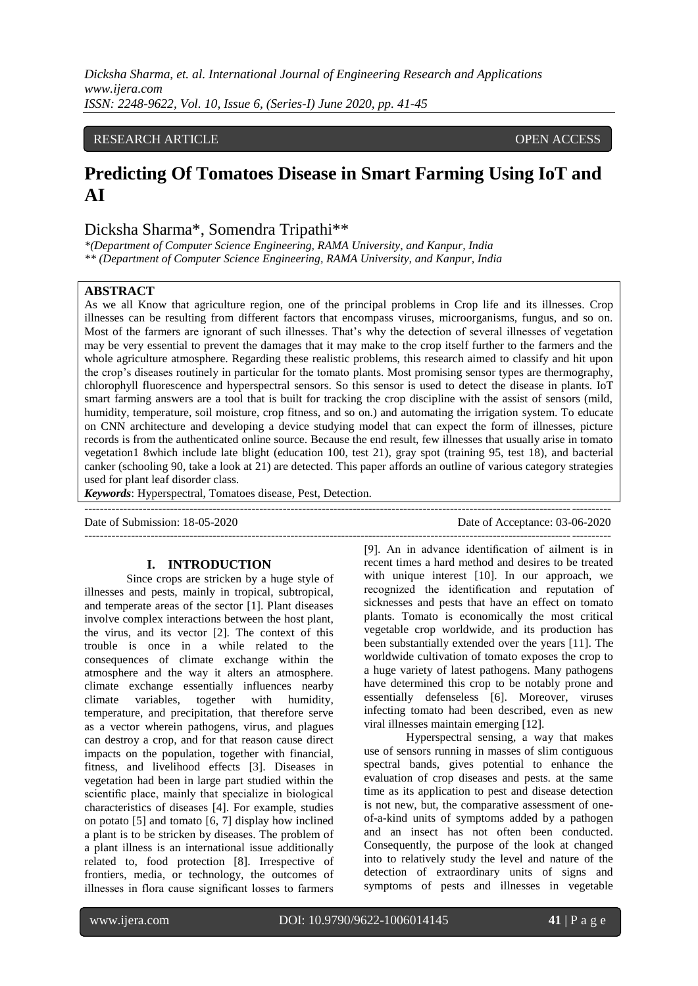*Dicksha Sharma, et. al. International Journal of Engineering Research and Applications www.ijera.com ISSN: 2248-9622, Vol. 10, Issue 6, (Series-I) June 2020, pp. 41-45*

#### RESEARCH ARTICLE **OPEN ACCESS**

# **Predicting Of Tomatoes Disease in Smart Farming Using IoT and AI**

## Dicksha Sharma\*, Somendra Tripathi\*\*

*\*(Department of Computer Science Engineering, RAMA University, and Kanpur, India \*\* (Department of Computer Science Engineering, RAMA University, and Kanpur, India*

## **ABSTRACT**

As we all Know that agriculture region, one of the principal problems in Crop life and its illnesses. Crop illnesses can be resulting from different factors that encompass viruses, microorganisms, fungus, and so on. Most of the farmers are ignorant of such illnesses. That's why the detection of several illnesses of vegetation may be very essential to prevent the damages that it may make to the crop itself further to the farmers and the whole agriculture atmosphere. Regarding these realistic problems, this research aimed to classify and hit upon the crop's diseases routinely in particular for the tomato plants. Most promising sensor types are thermography, chlorophyll fluorescence and hyperspectral sensors. So this sensor is used to detect the disease in plants. IoT smart farming answers are a tool that is built for tracking the crop discipline with the assist of sensors (mild, humidity, temperature, soil moisture, crop fitness, and so on.) and automating the irrigation system. To educate on CNN architecture and developing a device studying model that can expect the form of illnesses, picture records is from the authenticated online source. Because the end result, few illnesses that usually arise in tomato vegetation1 8which include late blight (education 100, test 21), gray spot (training 95, test 18), and bacterial canker (schooling 90, take a look at 21) are detected. This paper affords an outline of various category strategies used for plant leaf disorder class.

*Keywords*: Hyperspectral, Tomatoes disease, Pest, Detection.

---------------------------------------------------------------------------------------------------------------------------------------

Date of Submission: 18-05-2020 Date of Acceptance: 03-06-2020 ---------------------------------------------------------------------------------------------------------------------------------------

#### **I. INTRODUCTION**

Since crops are stricken by a huge style of illnesses and pests, mainly in tropical, subtropical, and temperate areas of the sector [1]. Plant diseases involve complex interactions between the host plant, the virus, and its vector [2]. The context of this trouble is once in a while related to the consequences of climate exchange within the atmosphere and the way it alters an atmosphere. climate exchange essentially influences nearby climate variables, together with humidity, temperature, and precipitation, that therefore serve as a vector wherein pathogens, virus, and plagues can destroy a crop, and for that reason cause direct impacts on the population, together with financial, fitness, and livelihood effects [3]. Diseases in vegetation had been in large part studied within the scientific place, mainly that specialize in biological characteristics of diseases [4]. For example, studies on potato [5] and tomato [6, 7] display how inclined a plant is to be stricken by diseases. The problem of a plant illness is an international issue additionally related to, food protection [8]. Irrespective of frontiers, media, or technology, the outcomes of illnesses in flora cause significant losses to farmers

[9]. An in advance identification of ailment is in recent times a hard method and desires to be treated with unique interest [10]. In our approach, we recognized the identification and reputation of sicknesses and pests that have an effect on tomato plants. Tomato is economically the most critical vegetable crop worldwide, and its production has been substantially extended over the years [11]. The worldwide cultivation of tomato exposes the crop to a huge variety of latest pathogens. Many pathogens have determined this crop to be notably prone and essentially defenseless [6]. Moreover, viruses infecting tomato had been described, even as new viral illnesses maintain emerging [12].

Hyperspectral sensing, a way that makes use of sensors running in masses of slim contiguous spectral bands, gives potential to enhance the evaluation of crop diseases and pests. at the same time as its application to pest and disease detection is not new, but, the comparative assessment of oneof-a-kind units of symptoms added by a pathogen and an insect has not often been conducted. Consequently, the purpose of the look at changed into to relatively study the level and nature of the detection of extraordinary units of signs and symptoms of pests and illnesses in vegetable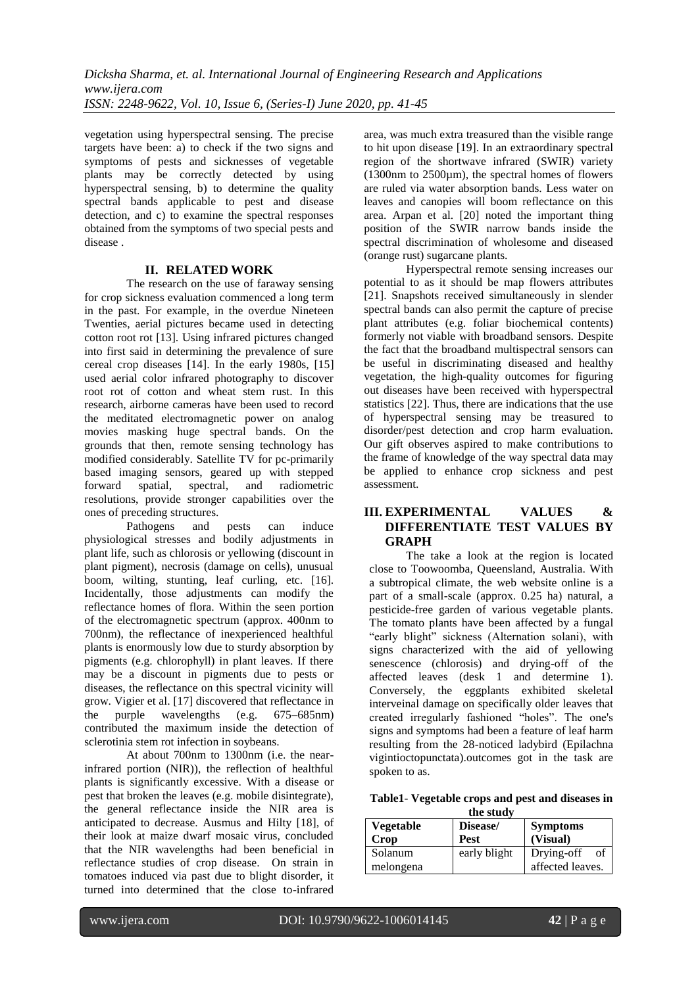vegetation using hyperspectral sensing. The precise targets have been: a) to check if the two signs and symptoms of pests and sicknesses of vegetable plants may be correctly detected by using hyperspectral sensing, b) to determine the quality spectral bands applicable to pest and disease detection, and c) to examine the spectral responses obtained from the symptoms of two special pests and disease .

#### **II. RELATED WORK**

The research on the use of faraway sensing for crop sickness evaluation commenced a long term in the past. For example, in the overdue Nineteen Twenties, aerial pictures became used in detecting cotton root rot [13]. Using infrared pictures changed into first said in determining the prevalence of sure cereal crop diseases [14]. In the early 1980s, [15] used aerial color infrared photography to discover root rot of cotton and wheat stem rust. In this research, airborne cameras have been used to record the meditated electromagnetic power on analog movies masking huge spectral bands. On the grounds that then, remote sensing technology has modified considerably. Satellite TV for pc-primarily based imaging sensors, geared up with stepped forward spatial, spectral, and radiometric resolutions, provide stronger capabilities over the ones of preceding structures.

Pathogens and pests can induce physiological stresses and bodily adjustments in plant life, such as chlorosis or yellowing (discount in plant pigment), necrosis (damage on cells), unusual boom, wilting, stunting, leaf curling, etc. [16]. Incidentally, those adjustments can modify the reflectance homes of flora. Within the seen portion of the electromagnetic spectrum (approx. 400nm to 700nm), the reflectance of inexperienced healthful plants is enormously low due to sturdy absorption by pigments (e.g. chlorophyll) in plant leaves. If there may be a discount in pigments due to pests or diseases, the reflectance on this spectral vicinity will grow. Vigier et al. [17] discovered that reflectance in<br>the purple wavelengths (e.g. 675–685nm) the purple wavelengths (e.g. 675–685nm) contributed the maximum inside the detection of sclerotinia stem rot infection in soybeans.

At about 700nm to 1300nm (i.e. the nearinfrared portion (NIR)), the reflection of healthful plants is significantly excessive. With a disease or pest that broken the leaves (e.g. mobile disintegrate), the general reflectance inside the NIR area is anticipated to decrease. Ausmus and Hilty [18], of their look at maize dwarf mosaic virus, concluded that the NIR wavelengths had been beneficial in reflectance studies of crop disease. On strain in tomatoes induced via past due to blight disorder, it turned into determined that the close to-infrared area, was much extra treasured than the visible range to hit upon disease [19]. In an extraordinary spectral region of the shortwave infrared (SWIR) variety (1300nm to 2500µm), the spectral homes of flowers are ruled via water absorption bands. Less water on leaves and canopies will boom reflectance on this area. Arpan et al. [20] noted the important thing position of the SWIR narrow bands inside the spectral discrimination of wholesome and diseased (orange rust) sugarcane plants.

Hyperspectral remote sensing increases our potential to as it should be map flowers attributes [21]. Snapshots received simultaneously in slender spectral bands can also permit the capture of precise plant attributes (e.g. foliar biochemical contents) formerly not viable with broadband sensors. Despite the fact that the broadband multispectral sensors can be useful in discriminating diseased and healthy vegetation, the high-quality outcomes for figuring out diseases have been received with hyperspectral statistics [22]. Thus, there are indications that the use of hyperspectral sensing may be treasured to disorder/pest detection and crop harm evaluation. Our gift observes aspired to make contributions to the frame of knowledge of the way spectral data may be applied to enhance crop sickness and pest assessment.

## **III. EXPERIMENTAL VALUES & DIFFERENTIATE TEST VALUES BY GRAPH**

The take a look at the region is located close to Toowoomba, Queensland, Australia. With a subtropical climate, the web website online is a part of a small-scale (approx. 0.25 ha) natural, a pesticide-free garden of various vegetable plants. The tomato plants have been affected by a fungal "early blight" sickness (Alternation solani), with signs characterized with the aid of yellowing senescence (chlorosis) and drying-off of the affected leaves (desk 1 and determine 1). Conversely, the eggplants exhibited skeletal interveinal damage on specifically older leaves that created irregularly fashioned "holes". The one's signs and symptoms had been a feature of leaf harm resulting from the 28-noticed ladybird (Epilachna vigintioctopunctata).outcomes got in the task are spoken to as.

|                        | Table1- Vegetable crops and pest and diseases in |  |  |  |  |  |  |
|------------------------|--------------------------------------------------|--|--|--|--|--|--|
| $\mathbf{f}$ the study |                                                  |  |  |  |  |  |  |

| the study        |              |                  |  |  |  |  |  |  |
|------------------|--------------|------------------|--|--|--|--|--|--|
| <b>Vegetable</b> | Disease/     | <b>Symptoms</b>  |  |  |  |  |  |  |
| Crop             | <b>Pest</b>  | (Visual)         |  |  |  |  |  |  |
| Solanum          | early blight | Drying-off<br>of |  |  |  |  |  |  |
| melongena        |              | affected leaves. |  |  |  |  |  |  |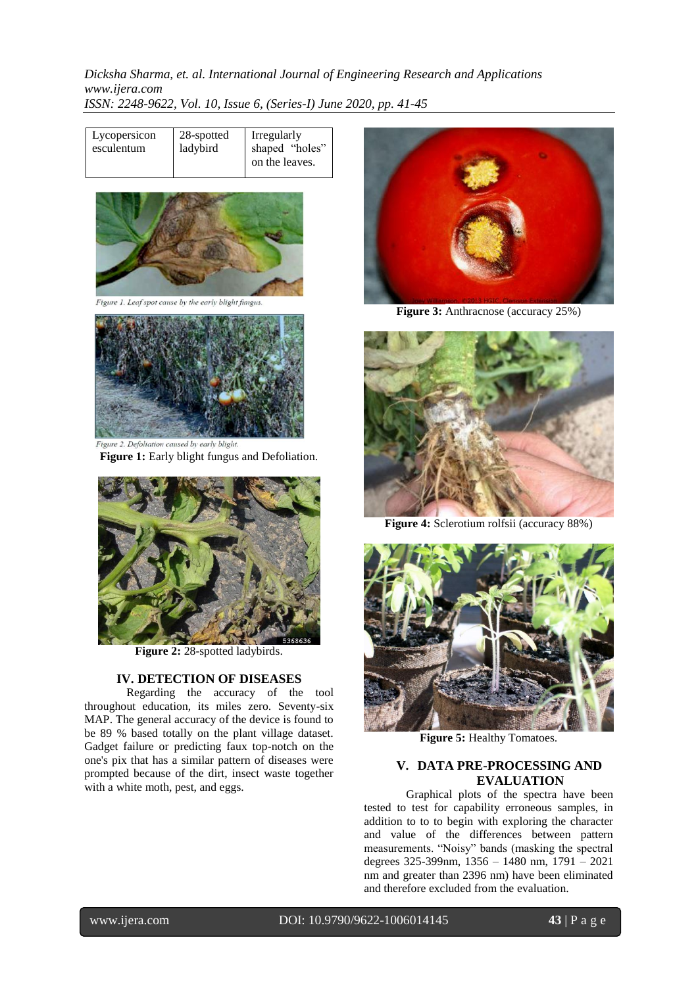*Dicksha Sharma, et. al. International Journal of Engineering Research and Applications www.ijera.com ISSN: 2248-9622, Vol. 10, Issue 6, (Series-I) June 2020, pp. 41-45*

| Lycopersicon<br>esculentum | 28-spotted<br>ladybird | Irregularly<br>shaped "holes"<br>on the leaves. |
|----------------------------|------------------------|-------------------------------------------------|
|----------------------------|------------------------|-------------------------------------------------|



igure 1. Leaf spot cause by the early blight fungus



**Figure 1:** Early blight fungus and Defoliation.



**Figure 2:** 28-spotted ladybirds.

#### **IV. DETECTION OF DISEASES**

Regarding the accuracy of the tool throughout education, its miles zero. Seventy-six MAP. The general accuracy of the device is found to be 89 % based totally on the plant village dataset. Gadget failure or predicting faux top-notch on the one's pix that has a similar pattern of diseases were prompted because of the dirt, insect waste together with a white moth, pest, and eggs.



**Figure 3:** Anthracnose (accuracy 25%)



**Figure 4:** Sclerotium rolfsii (accuracy 88%)



**Figure 5: Healthy Tomatoes.** 

## **V. DATA PRE-PROCESSING AND EVALUATION**

Graphical plots of the spectra have been tested to test for capability erroneous samples, in addition to to to begin with exploring the character and value of the differences between pattern measurements. "Noisy" bands (masking the spectral degrees 325-399nm, 1356 – 1480 nm, 1791 – 2021 nm and greater than 2396 nm) have been eliminated and therefore excluded from the evaluation.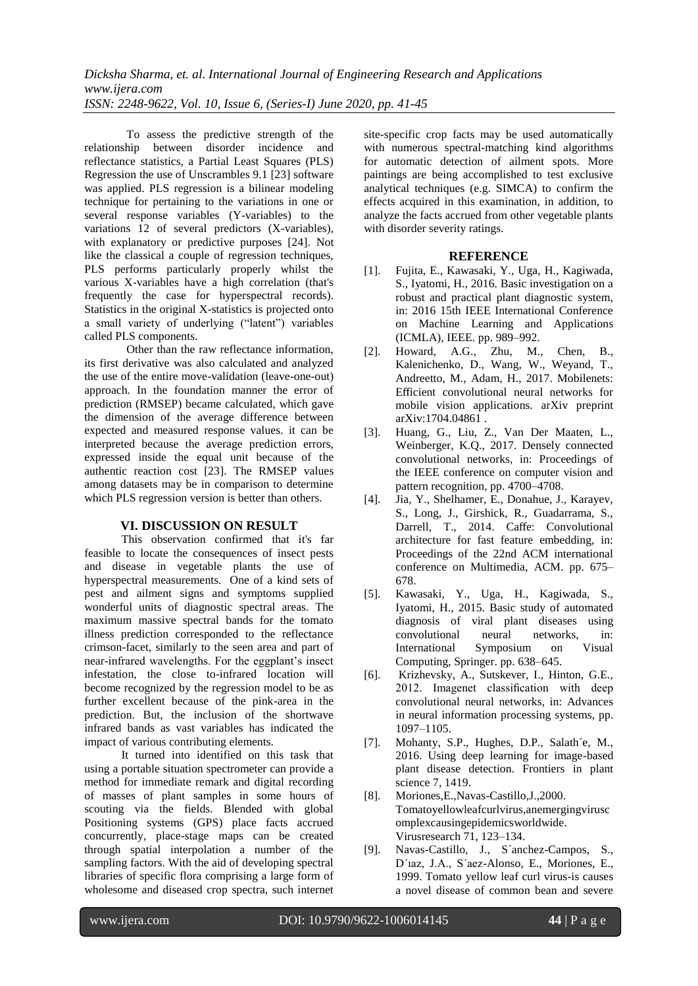To assess the predictive strength of the relationship between disorder incidence and reflectance statistics, a Partial Least Squares (PLS) Regression the use of Unscrambles 9.1 [23] software was applied. PLS regression is a bilinear modeling technique for pertaining to the variations in one or several response variables (Y-variables) to the variations 12 of several predictors (X-variables), with explanatory or predictive purposes [24]. Not like the classical a couple of regression techniques, PLS performs particularly properly whilst the various X-variables have a high correlation (that's frequently the case for hyperspectral records). Statistics in the original X-statistics is projected onto a small variety of underlying ("latent") variables called PLS components.

Other than the raw reflectance information, its first derivative was also calculated and analyzed the use of the entire move-validation (leave-one-out) approach. In the foundation manner the error of prediction (RMSEP) became calculated, which gave the dimension of the average difference between expected and measured response values. it can be interpreted because the average prediction errors, expressed inside the equal unit because of the authentic reaction cost [23]. The RMSEP values among datasets may be in comparison to determine which PLS regression version is better than others.

## **VI. DISCUSSION ON RESULT**

This observation confirmed that it's far feasible to locate the consequences of insect pests and disease in vegetable plants the use of hyperspectral measurements. One of a kind sets of pest and ailment signs and symptoms supplied wonderful units of diagnostic spectral areas. The maximum massive spectral bands for the tomato illness prediction corresponded to the reflectance crimson-facet, similarly to the seen area and part of near-infrared wavelengths. For the eggplant's insect infestation, the close to-infrared location will become recognized by the regression model to be as further excellent because of the pink-area in the prediction. But, the inclusion of the shortwave infrared bands as vast variables has indicated the impact of various contributing elements.

It turned into identified on this task that using a portable situation spectrometer can provide a method for immediate remark and digital recording of masses of plant samples in some hours of scouting via the fields. Blended with global Positioning systems (GPS) place facts accrued concurrently, place-stage maps can be created through spatial interpolation a number of the sampling factors. With the aid of developing spectral libraries of specific flora comprising a large form of wholesome and diseased crop spectra, such internet site-specific crop facts may be used automatically with numerous spectral-matching kind algorithms for automatic detection of ailment spots. More paintings are being accomplished to test exclusive analytical techniques (e.g. SIMCA) to confirm the effects acquired in this examination, in addition, to analyze the facts accrued from other vegetable plants with disorder severity ratings.

#### **REFERENCE**

- [1]. Fujita, E., Kawasaki, Y., Uga, H., Kagiwada, S., Iyatomi, H., 2016. Basic investigation on a robust and practical plant diagnostic system, in: 2016 15th IEEE International Conference on Machine Learning and Applications (ICMLA), IEEE. pp. 989–992.
- [2]. Howard, A.G., Zhu, M., Chen, B., Kalenichenko, D., Wang, W., Weyand, T., Andreetto, M., Adam, H., 2017. Mobilenets: Efficient convolutional neural networks for mobile vision applications. arXiv preprint arXiv:1704.04861 .
- [3]. Huang, G., Liu, Z., Van Der Maaten, L., Weinberger, K.Q., 2017. Densely connected convolutional networks, in: Proceedings of the IEEE conference on computer vision and pattern recognition, pp. 4700–4708.
- [4]. Jia, Y., Shelhamer, E., Donahue, J., Karayev, S., Long, J., Girshick, R., Guadarrama, S., Darrell, T., 2014. Caffe: Convolutional architecture for fast feature embedding, in: Proceedings of the 22nd ACM international conference on Multimedia, ACM. pp. 675– 678.
- [5]. Kawasaki, Y., Uga, H., Kagiwada, S., Iyatomi, H., 2015. Basic study of automated diagnosis of viral plant diseases using convolutional neural networks, in: International Symposium on Computing, Springer. pp. 638–645.
- [6]. Krizhevsky, A., Sutskever, I., Hinton, G.E., 2012. Imagenet classification with deep convolutional neural networks, in: Advances in neural information processing systems, pp. 1097–1105.
- [7]. Mohanty, S.P., Hughes, D.P., Salath´e, M., 2016. Using deep learning for image-based plant disease detection. Frontiers in plant science 7, 1419.
- [8]. Moriones,E.,Navas-Castillo,J.,2000. Tomatoyellowleafcurlvirus,anemergingvirusc omplexcausingepidemicsworldwide. Virusresearch 71, 123–134.
- [9]. Navas-Castillo, J., S´anchez-Campos, S., D´ıaz, J.A., S´aez-Alonso, E., Moriones, E., 1999. Tomato yellow leaf curl virus-is causes a novel disease of common bean and severe